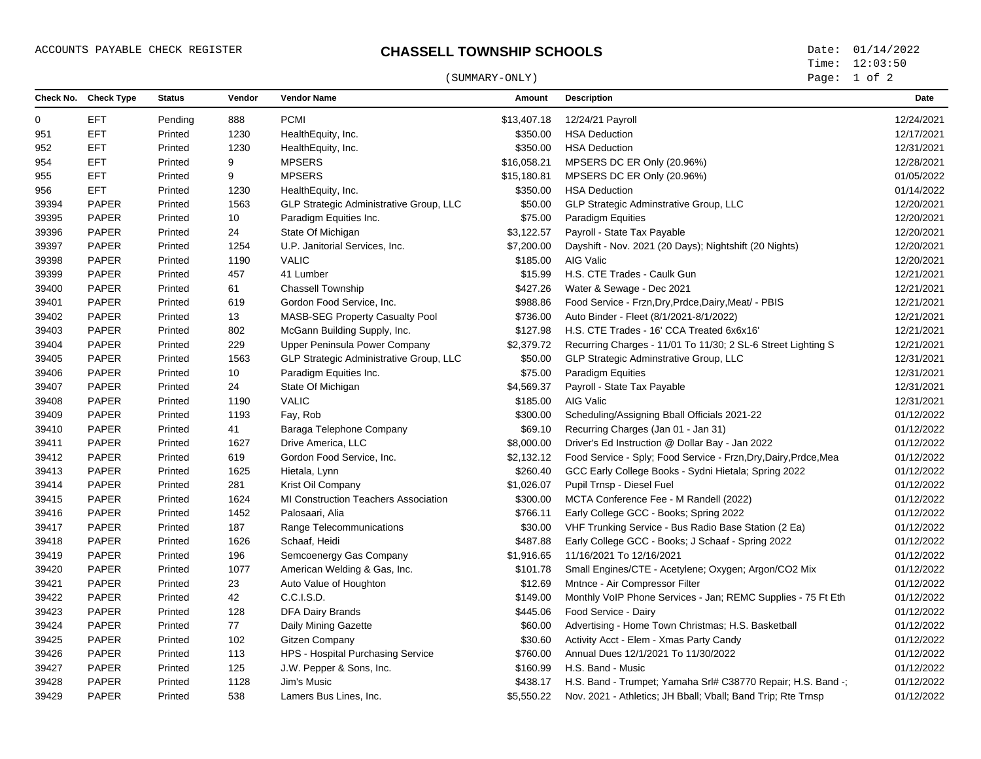## ACCOUNTS PAYABLE CHECK REGISTER **CHASSELL TOWNSHIP SCHOOLS** Date: 01/14/2022

## (SUMMARY-ONLY) Page: 1 of 2

Time: 12:03:50

|       | Check No. Check Type | <b>Status</b> | Vendor | <b>Vendor Name</b>                          | Amount      | <b>Description</b>                                               | Date       |
|-------|----------------------|---------------|--------|---------------------------------------------|-------------|------------------------------------------------------------------|------------|
| 0     | <b>EFT</b>           | Pending       | 888    | <b>PCMI</b>                                 | \$13,407.18 | 12/24/21 Payroll                                                 | 12/24/2021 |
| 951   | <b>EFT</b>           | Printed       | 1230   | HealthEquity, Inc.                          | \$350.00    | <b>HSA Deduction</b>                                             | 12/17/2021 |
| 952   | <b>EFT</b>           | Printed       | 1230   | HealthEquity, Inc.                          | \$350.00    | <b>HSA Deduction</b>                                             | 12/31/2021 |
| 954   | <b>EFT</b>           | Printed       | 9      | <b>MPSERS</b>                               | \$16,058.21 | MPSERS DC ER Only (20.96%)                                       | 12/28/2021 |
| 955   | <b>EFT</b>           | Printed       | 9      | <b>MPSERS</b>                               | \$15,180.81 | MPSERS DC ER Only (20.96%)                                       | 01/05/2022 |
| 956   | <b>EFT</b>           | Printed       | 1230   | HealthEquity, Inc.                          | \$350.00    | <b>HSA Deduction</b>                                             | 01/14/2022 |
| 39394 | <b>PAPER</b>         | Printed       | 1563   | GLP Strategic Administrative Group, LLC     | \$50.00     | GLP Strategic Adminstrative Group, LLC                           | 12/20/2021 |
| 39395 | <b>PAPER</b>         | Printed       | 10     | Paradigm Equities Inc.                      | \$75.00     | Paradigm Equities                                                | 12/20/2021 |
| 39396 | <b>PAPER</b>         | Printed       | 24     | State Of Michigan                           | \$3,122.57  | Payroll - State Tax Payable                                      | 12/20/2021 |
| 39397 | <b>PAPER</b>         | Printed       | 1254   | U.P. Janitorial Services, Inc.              | \$7,200.00  | Dayshift - Nov. 2021 (20 Days); Nightshift (20 Nights)           | 12/20/2021 |
| 39398 | <b>PAPER</b>         | Printed       | 1190   | <b>VALIC</b>                                | \$185.00    | AIG Valic                                                        | 12/20/2021 |
| 39399 | <b>PAPER</b>         | Printed       | 457    | 41 Lumber                                   | \$15.99     | H.S. CTE Trades - Caulk Gun                                      | 12/21/2021 |
| 39400 | PAPER                | Printed       | 61     | <b>Chassell Township</b>                    | \$427.26    | Water & Sewage - Dec 2021                                        | 12/21/2021 |
| 39401 | <b>PAPER</b>         | Printed       | 619    | Gordon Food Service, Inc.                   | \$988.86    | Food Service - Frzn, Dry, Prdce, Dairy, Meat/ - PBIS             | 12/21/2021 |
| 39402 | <b>PAPER</b>         | Printed       | 13     | <b>MASB-SEG Property Casualty Pool</b>      | \$736.00    | Auto Binder - Fleet (8/1/2021-8/1/2022)                          | 12/21/2021 |
| 39403 | PAPER                | Printed       | 802    | McGann Building Supply, Inc.                | \$127.98    | H.S. CTE Trades - 16' CCA Treated 6x6x16'                        | 12/21/2021 |
| 39404 | <b>PAPER</b>         | Printed       | 229    | Upper Peninsula Power Company               | \$2,379.72  | Recurring Charges - 11/01 To 11/30; 2 SL-6 Street Lighting S     | 12/21/2021 |
| 39405 | <b>PAPER</b>         | Printed       | 1563   | GLP Strategic Administrative Group, LLC     | \$50.00     | GLP Strategic Adminstrative Group, LLC                           | 12/31/2021 |
| 39406 | <b>PAPER</b>         | Printed       | 10     | Paradigm Equities Inc.                      | \$75.00     | Paradigm Equities                                                | 12/31/2021 |
| 39407 | <b>PAPER</b>         | Printed       | 24     | State Of Michigan                           | \$4,569.37  | Payroll - State Tax Payable                                      | 12/31/2021 |
| 39408 | PAPER                | Printed       | 1190   | <b>VALIC</b>                                | \$185.00    | AIG Valic                                                        | 12/31/2021 |
| 39409 | <b>PAPER</b>         | Printed       | 1193   | Fay, Rob                                    | \$300.00    | Scheduling/Assigning Bball Officials 2021-22                     | 01/12/2022 |
| 39410 | <b>PAPER</b>         | Printed       | 41     | Baraga Telephone Company                    | \$69.10     | Recurring Charges (Jan 01 - Jan 31)                              | 01/12/2022 |
| 39411 | <b>PAPER</b>         | Printed       | 1627   | Drive America, LLC                          | \$8,000.00  | Driver's Ed Instruction @ Dollar Bay - Jan 2022                  | 01/12/2022 |
| 39412 | <b>PAPER</b>         | Printed       | 619    | Gordon Food Service, Inc.                   | \$2,132.12  | Food Service - Sply; Food Service - Frzn, Dry, Dairy, Prdce, Mea | 01/12/2022 |
| 39413 | PAPER                | Printed       | 1625   | Hietala, Lynn                               | \$260.40    | GCC Early College Books - Sydni Hietala; Spring 2022             | 01/12/2022 |
| 39414 | <b>PAPER</b>         | Printed       | 281    | Krist Oil Company                           | \$1,026.07  | Pupil Trnsp - Diesel Fuel                                        | 01/12/2022 |
| 39415 | <b>PAPER</b>         | Printed       | 1624   | <b>MI Construction Teachers Association</b> | \$300.00    | MCTA Conference Fee - M Randell (2022)                           | 01/12/2022 |
| 39416 | <b>PAPER</b>         | Printed       | 1452   | Palosaari, Alia                             | \$766.11    | Early College GCC - Books; Spring 2022                           | 01/12/2022 |
| 39417 | <b>PAPER</b>         | Printed       | 187    | Range Telecommunications                    | \$30.00     | VHF Trunking Service - Bus Radio Base Station (2 Ea)             | 01/12/2022 |
| 39418 | <b>PAPER</b>         | Printed       | 1626   | Schaaf, Heidi                               | \$487.88    | Early College GCC - Books; J Schaaf - Spring 2022                | 01/12/2022 |
| 39419 | <b>PAPER</b>         | Printed       | 196    | Semcoenergy Gas Company                     | \$1,916.65  | 11/16/2021 To 12/16/2021                                         | 01/12/2022 |
| 39420 | PAPER                | Printed       | 1077   | American Welding & Gas, Inc.                | \$101.78    | Small Engines/CTE - Acetylene; Oxygen; Argon/CO2 Mix             | 01/12/2022 |
| 39421 | PAPER                | Printed       | 23     | Auto Value of Houghton                      | \$12.69     | Mntnce - Air Compressor Filter                                   | 01/12/2022 |
| 39422 | <b>PAPER</b>         | Printed       | 42     | C.C.I.S.D.                                  | \$149.00    | Monthly VoIP Phone Services - Jan; REMC Supplies - 75 Ft Eth     | 01/12/2022 |
| 39423 | PAPER                | Printed       | 128    | <b>DFA Dairy Brands</b>                     | \$445.06    | Food Service - Dairy                                             | 01/12/2022 |
| 39424 | <b>PAPER</b>         | Printed       | 77     | Daily Mining Gazette                        | \$60.00     | Advertising - Home Town Christmas; H.S. Basketball               | 01/12/2022 |
| 39425 | PAPER                | Printed       | 102    | <b>Gitzen Company</b>                       | \$30.60     | Activity Acct - Elem - Xmas Party Candy                          | 01/12/2022 |
| 39426 | <b>PAPER</b>         | Printed       | 113    | HPS - Hospital Purchasing Service           | \$760.00    | Annual Dues 12/1/2021 To 11/30/2022                              | 01/12/2022 |
| 39427 | <b>PAPER</b>         | Printed       | 125    | J.W. Pepper & Sons, Inc.                    | \$160.99    | H.S. Band - Music                                                | 01/12/2022 |
| 39428 | PAPER                | Printed       | 1128   | Jim's Music                                 | \$438.17    | H.S. Band - Trumpet; Yamaha Srl# C38770 Repair; H.S. Band -;     | 01/12/2022 |
| 39429 | <b>PAPER</b>         | Printed       | 538    | Lamers Bus Lines, Inc.                      | \$5,550.22  | Nov. 2021 - Athletics: JH Bball: Vball: Band Trip: Rte Trnsp     | 01/12/2022 |